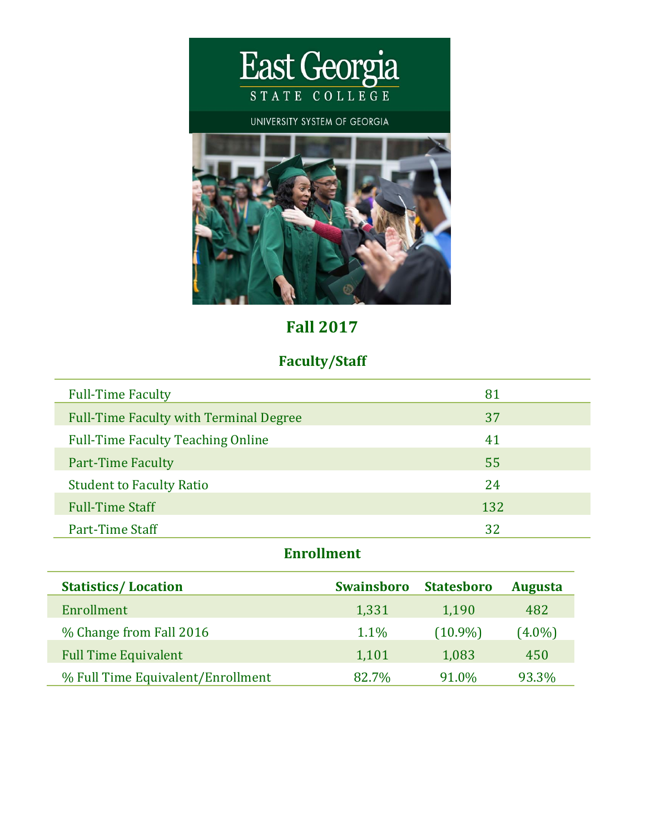

# **Fall 2017**

## **Faculty/Staff**

| <b>Full-Time Faculty</b>                      | 81  |
|-----------------------------------------------|-----|
| <b>Full-Time Faculty with Terminal Degree</b> | 37  |
| <b>Full-Time Faculty Teaching Online</b>      | 41  |
| <b>Part-Time Faculty</b>                      | 55  |
| <b>Student to Faculty Ratio</b>               | 24  |
| <b>Full-Time Staff</b>                        | 132 |
| Part-Time Staff                               | 32  |

### **Enrollment**

| <b>Statistics/Location</b>        | <b>Swainsboro</b> | <b>Statesboro</b> | <b>Augusta</b> |
|-----------------------------------|-------------------|-------------------|----------------|
| Enrollment                        | 1,331             | 1,190             | 482            |
| % Change from Fall 2016           | 1.1%              | $(10.9\%)$        | $(4.0\%)$      |
| <b>Full Time Equivalent</b>       | 1,101             | 1,083             | 450            |
| % Full Time Equivalent/Enrollment | 82.7%             | 91.0%             | 93.3%          |